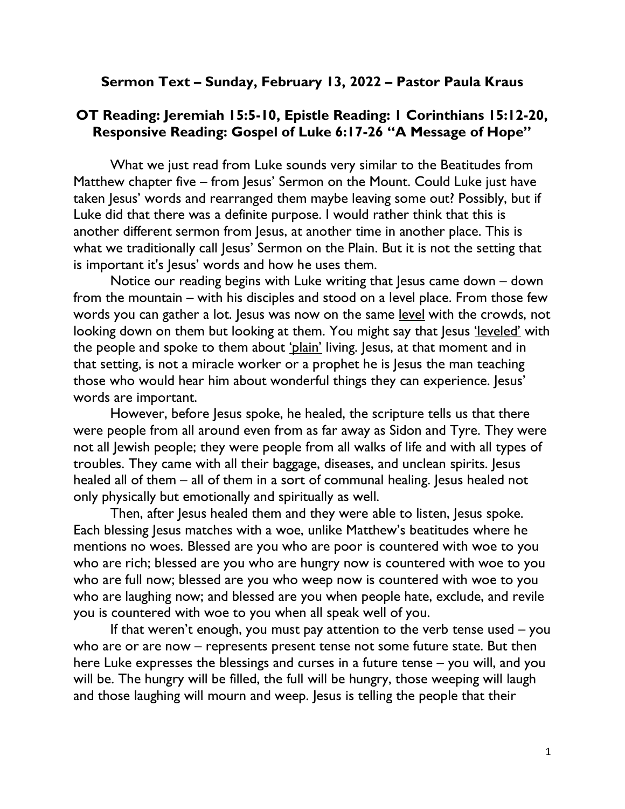## Sermon Text – Sunday, February 13, 2022 – Pastor Paula Kraus

## OT Reading: Jeremiah 15:5-10, Epistle Reading: 1 Corinthians 15:12-20, Responsive Reading: Gospel of Luke 6:17-26 "A Message of Hope"

What we just read from Luke sounds very similar to the Beatitudes from Matthew chapter five – from Jesus' Sermon on the Mount. Could Luke just have taken Jesus' words and rearranged them maybe leaving some out? Possibly, but if Luke did that there was a definite purpose. I would rather think that this is another different sermon from Jesus, at another time in another place. This is what we traditionally call Jesus' Sermon on the Plain. But it is not the setting that is important it's Jesus' words and how he uses them.

Notice our reading begins with Luke writing that Jesus came down – down from the mountain – with his disciples and stood on a level place. From those few words you can gather a lot. Jesus was now on the same level with the crowds, not looking down on them but looking at them. You might say that Jesus 'leveled' with the people and spoke to them about 'plain' living. Jesus, at that moment and in that setting, is not a miracle worker or a prophet he is Jesus the man teaching those who would hear him about wonderful things they can experience. Jesus' words are important.

However, before Jesus spoke, he healed, the scripture tells us that there were people from all around even from as far away as Sidon and Tyre. They were not all Jewish people; they were people from all walks of life and with all types of troubles. They came with all their baggage, diseases, and unclean spirits. Jesus healed all of them – all of them in a sort of communal healing. Jesus healed not only physically but emotionally and spiritually as well.

Then, after Jesus healed them and they were able to listen, Jesus spoke. Each blessing Jesus matches with a woe, unlike Matthew's beatitudes where he mentions no woes. Blessed are you who are poor is countered with woe to you who are rich; blessed are you who are hungry now is countered with woe to you who are full now; blessed are you who weep now is countered with woe to you who are laughing now; and blessed are you when people hate, exclude, and revile you is countered with woe to you when all speak well of you.

If that weren't enough, you must pay attention to the verb tense used – you who are or are now – represents present tense not some future state. But then here Luke expresses the blessings and curses in a future tense – you will, and you will be. The hungry will be filled, the full will be hungry, those weeping will laugh and those laughing will mourn and weep. Jesus is telling the people that their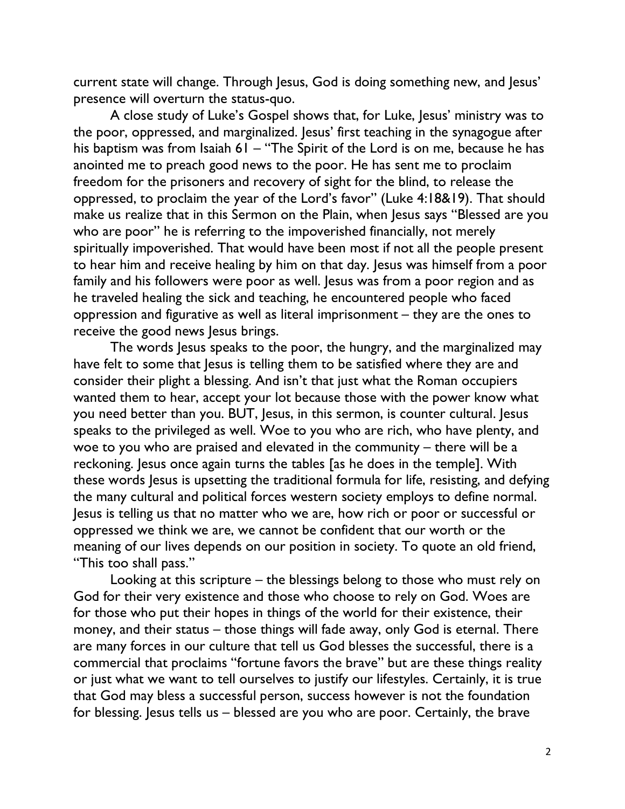current state will change. Through Jesus, God is doing something new, and Jesus' presence will overturn the status-quo.

A close study of Luke's Gospel shows that, for Luke, Jesus' ministry was to the poor, oppressed, and marginalized. Jesus' first teaching in the synagogue after his baptism was from Isaiah 61 – "The Spirit of the Lord is on me, because he has anointed me to preach good news to the poor. He has sent me to proclaim freedom for the prisoners and recovery of sight for the blind, to release the oppressed, to proclaim the year of the Lord's favor" (Luke 4:18&19). That should make us realize that in this Sermon on the Plain, when Jesus says "Blessed are you who are poor" he is referring to the impoverished financially, not merely spiritually impoverished. That would have been most if not all the people present to hear him and receive healing by him on that day. Jesus was himself from a poor family and his followers were poor as well. Jesus was from a poor region and as he traveled healing the sick and teaching, he encountered people who faced oppression and figurative as well as literal imprisonment – they are the ones to receive the good news Jesus brings.

The words Jesus speaks to the poor, the hungry, and the marginalized may have felt to some that Jesus is telling them to be satisfied where they are and consider their plight a blessing. And isn't that just what the Roman occupiers wanted them to hear, accept your lot because those with the power know what you need better than you. BUT, Jesus, in this sermon, is counter cultural. Jesus speaks to the privileged as well. Woe to you who are rich, who have plenty, and woe to you who are praised and elevated in the community – there will be a reckoning. Jesus once again turns the tables [as he does in the temple]. With these words Jesus is upsetting the traditional formula for life, resisting, and defying the many cultural and political forces western society employs to define normal. Jesus is telling us that no matter who we are, how rich or poor or successful or oppressed we think we are, we cannot be confident that our worth or the meaning of our lives depends on our position in society. To quote an old friend, "This too shall pass."

Looking at this scripture – the blessings belong to those who must rely on God for their very existence and those who choose to rely on God. Woes are for those who put their hopes in things of the world for their existence, their money, and their status – those things will fade away, only God is eternal. There are many forces in our culture that tell us God blesses the successful, there is a commercial that proclaims "fortune favors the brave" but are these things reality or just what we want to tell ourselves to justify our lifestyles. Certainly, it is true that God may bless a successful person, success however is not the foundation for blessing. Jesus tells us – blessed are you who are poor. Certainly, the brave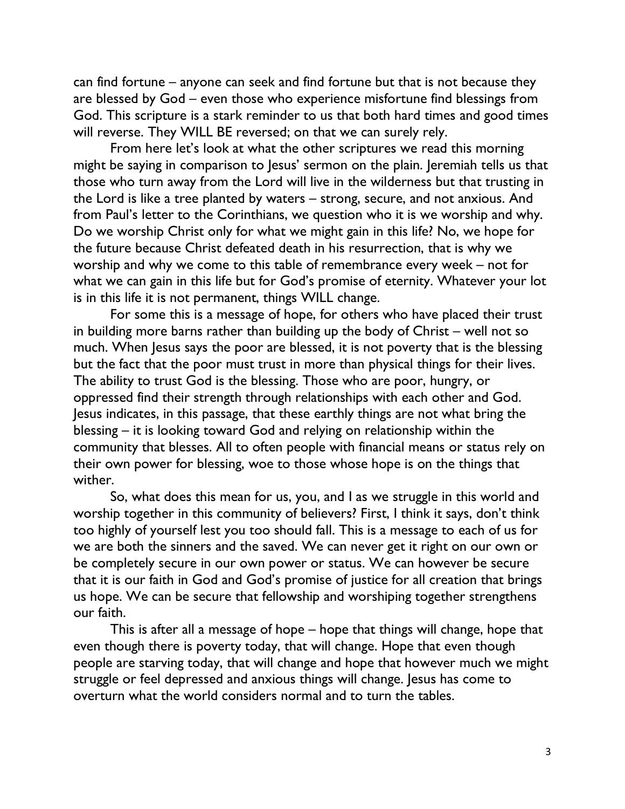can find fortune – anyone can seek and find fortune but that is not because they are blessed by God – even those who experience misfortune find blessings from God. This scripture is a stark reminder to us that both hard times and good times will reverse. They WILL BE reversed; on that we can surely rely.

From here let's look at what the other scriptures we read this morning might be saying in comparison to Jesus' sermon on the plain. Jeremiah tells us that those who turn away from the Lord will live in the wilderness but that trusting in the Lord is like a tree planted by waters – strong, secure, and not anxious. And from Paul's letter to the Corinthians, we question who it is we worship and why. Do we worship Christ only for what we might gain in this life? No, we hope for the future because Christ defeated death in his resurrection, that is why we worship and why we come to this table of remembrance every week – not for what we can gain in this life but for God's promise of eternity. Whatever your lot is in this life it is not permanent, things WILL change.

For some this is a message of hope, for others who have placed their trust in building more barns rather than building up the body of Christ – well not so much. When Jesus says the poor are blessed, it is not poverty that is the blessing but the fact that the poor must trust in more than physical things for their lives. The ability to trust God is the blessing. Those who are poor, hungry, or oppressed find their strength through relationships with each other and God. Jesus indicates, in this passage, that these earthly things are not what bring the blessing – it is looking toward God and relying on relationship within the community that blesses. All to often people with financial means or status rely on their own power for blessing, woe to those whose hope is on the things that wither.

So, what does this mean for us, you, and I as we struggle in this world and worship together in this community of believers? First, I think it says, don't think too highly of yourself lest you too should fall. This is a message to each of us for we are both the sinners and the saved. We can never get it right on our own or be completely secure in our own power or status. We can however be secure that it is our faith in God and God's promise of justice for all creation that brings us hope. We can be secure that fellowship and worshiping together strengthens our faith.

This is after all a message of hope – hope that things will change, hope that even though there is poverty today, that will change. Hope that even though people are starving today, that will change and hope that however much we might struggle or feel depressed and anxious things will change. Jesus has come to overturn what the world considers normal and to turn the tables.